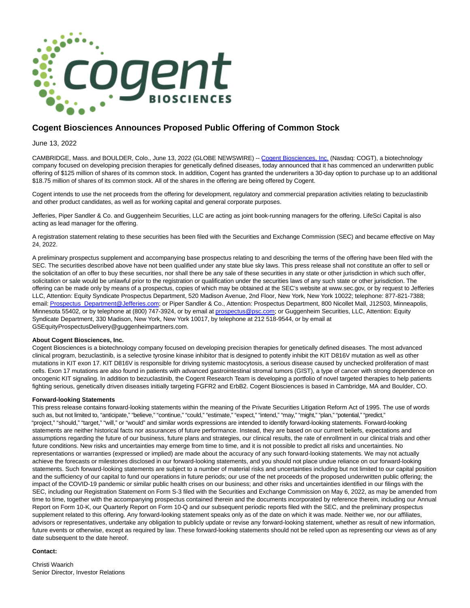

## **Cogent Biosciences Announces Proposed Public Offering of Common Stock**

June 13, 2022

CAMBRIDGE, Mass. and BOULDER, Colo., June 13, 2022 (GLOBE NEWSWIRE) -- [Cogent Biosciences, Inc. \(](https://www.globenewswire.com/Tracker?data=JnBw8C9bcKKBewk85YBfEAOHv3zgcIbGEIk5b7PF4zJ-eMzcsbbwHvOtE7Sycz9POf56SRC_lg6aWWe0QJrUi7U2ToaunBDctyQdhrVsxiY=)Nasdaq: COGT), a biotechnology company focused on developing precision therapies for genetically defined diseases, today announced that it has commenced an underwritten public offering of \$125 million of shares of its common stock. In addition, Cogent has granted the underwriters a 30-day option to purchase up to an additional \$18.75 million of shares of its common stock. All of the shares in the offering are being offered by Cogent.

Cogent intends to use the net proceeds from the offering for development, regulatory and commercial preparation activities relating to bezuclastinib and other product candidates, as well as for working capital and general corporate purposes.

Jefferies, Piper Sandler & Co. and Guggenheim Securities, LLC are acting as joint book-running managers for the offering. LifeSci Capital is also acting as lead manager for the offering.

A registration statement relating to these securities has been filed with the Securities and Exchange Commission (SEC) and became effective on May 24, 2022.

A preliminary prospectus supplement and accompanying base prospectus relating to and describing the terms of the offering have been filed with the SEC. The securities described above have not been qualified under any state blue sky laws. This press release shall not constitute an offer to sell or the solicitation of an offer to buy these securities, nor shall there be any sale of these securities in any state or other jurisdiction in which such offer, solicitation or sale would be unlawful prior to the registration or qualification under the securities laws of any such state or other jurisdiction. The offering can be made only by means of a prospectus, copies of which may be obtained at the SEC's website at www.sec.gov, or by request to Jefferies LLC, Attention: Equity Syndicate Prospectus Department, 520 Madison Avenue, 2nd Floor, New York, New York 10022; telephone: 877-821-7388; email[: Prospectus\\_Department@Jefferies.com;](https://www.globenewswire.com/Tracker?data=rRZCmGQevtd8PKsWJ8i8odT5ZIXIhJdlqnEZno6OLDZ6vAfpNNfGj7ABZqcBzN0KuAMJyiWbjbQ5NaWFiso0mZlob7-anZPnhtRJ6JZ5w6yyWCtj8fM2M0rmiBajA6MyVCJIH9N1SohLP3qxqeIk2Q==) or Piper Sandler & Co., Attention: Prospectus Department, 800 Nicollet Mall, J12S03, Minneapolis, Minnesota 55402, or by telephone at (800) 747-3924, or by email at [prospectus@psc.com;](https://www.globenewswire.com/Tracker?data=Zs57PSQfpAs1EusdLUYsjPYs0Fb_9uvgtMjBO-9kZny4iHHUeTTnq3TghvKucUrYGnumlCE8GOE52mx87FGBFCMBYEnY1ui6bQiLzC7xGCM=) or Guggenheim Securities, LLC, Attention: Equity Syndicate Department, 330 Madison, New York, New York 10017, by telephone at 212 518-9544, or by email at GSEquityProspectusDelivery@guggenheimpartners.com.

## **About Cogent Biosciences, Inc.**

Cogent Biosciences is a biotechnology company focused on developing precision therapies for genetically defined diseases. The most advanced clinical program, bezuclastinib, is a selective tyrosine kinase inhibitor that is designed to potently inhibit the KIT D816V mutation as well as other mutations in KIT exon 17. KIT D816V is responsible for driving systemic mastocytosis, a serious disease caused by unchecked proliferation of mast cells. Exon 17 mutations are also found in patients with advanced gastrointestinal stromal tumors (GIST), a type of cancer with strong dependence on oncogenic KIT signaling. In addition to bezuclastinib, the Cogent Research Team is developing a portfolio of novel targeted therapies to help patients fighting serious, genetically driven diseases initially targeting FGFR2 and ErbB2. Cogent Biosciences is based in Cambridge, MA and Boulder, CO.

## **Forward-looking Statements**

This press release contains forward-looking statements within the meaning of the Private Securities Litigation Reform Act of 1995. The use of words such as, but not limited to, "anticipate," "believe," "continue," "could," "estimate," "expect," "intend," "may," "might," "plan," "potential," "predict," "project," "should," "target," "will," or "would" and similar words expressions are intended to identify forward-looking statements. Forward-looking statements are neither historical facts nor assurances of future performance. Instead, they are based on our current beliefs, expectations and assumptions regarding the future of our business, future plans and strategies, our clinical results, the rate of enrollment in our clinical trials and other future conditions. New risks and uncertainties may emerge from time to time, and it is not possible to predict all risks and uncertainties. No representations or warranties (expressed or implied) are made about the accuracy of any such forward-looking statements. We may not actually achieve the forecasts or milestones disclosed in our forward-looking statements, and you should not place undue reliance on our forward-looking statements. Such forward-looking statements are subject to a number of material risks and uncertainties including but not limited to our capital position and the sufficiency of our capital to fund our operations in future periods; our use of the net proceeds of the proposed underwritten public offering; the impact of the COVID-19 pandemic or similar public health crises on our business; and other risks and uncertainties identified in our filings with the SEC, including our Registration Statement on Form S-3 filed with the Securities and Exchange Commission on May 6, 2022, as may be amended from time to time, together with the accompanying prospectus contained therein and the documents incorporated by reference therein, including our Annual Report on Form 10-K, our Quarterly Report on Form 10-Q and our subsequent periodic reports filed with the SEC, and the preliminary prospectus supplement related to this offering. Any forward-looking statement speaks only as of the date on which it was made. Neither we, nor our affiliates, advisors or representatives, undertake any obligation to publicly update or revise any forward-looking statement, whether as result of new information, future events or otherwise, except as required by law. These forward-looking statements should not be relied upon as representing our views as of any date subsequent to the date hereof.

## **Contact:**

Christi Waarich Senior Director, Investor Relations